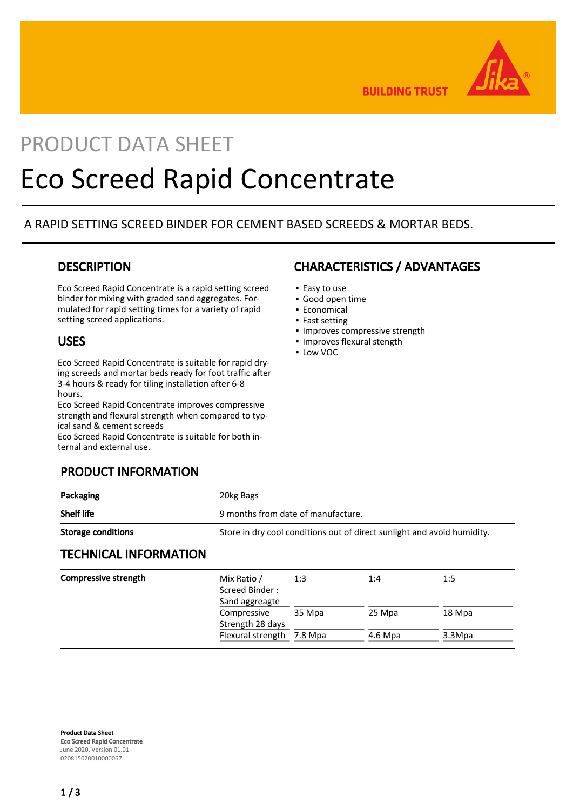

**BUILDING TRUST** 

# PRODUCT DATA SHEET Eco Screed Rapid Concentrate

## A RAPID SETTING SCREED BINDER FOR CEMENT BASED SCREEDS & MORTAR BEDS.

## **DESCRIPTION**

Eco Screed Rapid Concentrate is a rapid setting screed binder for mixing with graded sand aggregates. Formulated for rapid setting times for a variety of rapid setting screed applications.

## USES

Eco Screed Rapid Concentrate is suitable for rapid drying screeds and mortar beds ready for foot traffic after 3-4 hours & ready for tiling installation after 6-8 hours.

Eco Screed Rapid Concentrate improves compressive strength and flexural strength when compared to typical sand & cement screeds

Eco Screed Rapid Concentrate is suitable for both internal and external use.

## PRODUCT INFORMATION

### Packaging **20kg Bags** Shelf life 3.1 and 5.9 months from date of manufacture. Storage conditions Store in dry cool conditions out of direct sunlight and avoid humidity. TECHNICAL INFORMATION Compressive strength Mix Ratio / Screed Binder : Sand aggreagte 1:3 1:4 1:5 Compressive Strength 28 days 35 Mpa 25 Mpa 18 Mpa

Product Data Sheet Eco Screed Rapid Concentrate June 2020, Version 01.01 020815020010000067

## CHARACTERISTICS / ADVANTAGES

- Easy to use
- Good open time
- **Economical**
- Fast setting
- **· Improves compressive strength**
- Improves flexural stength

Flexural strength 7.8 Mpa 4.6 Mpa 3.3 Mpa

▪ Low VOC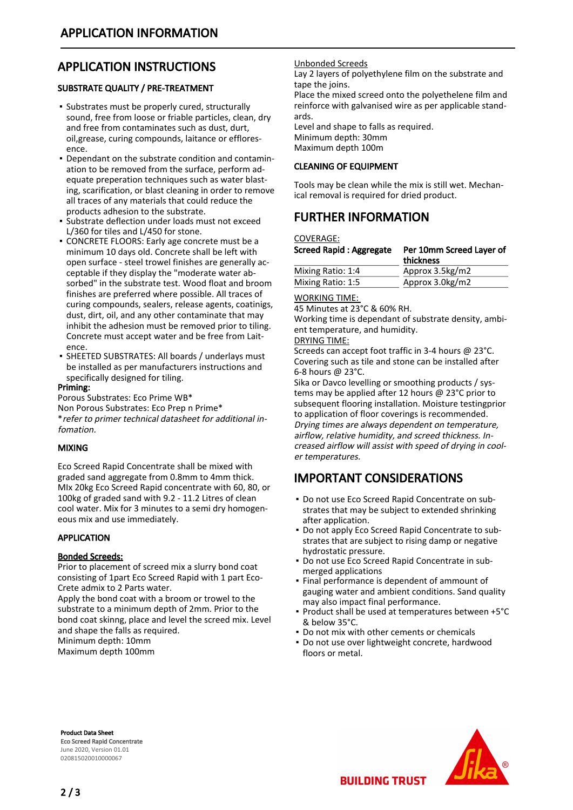# APPLICATION INSTRUCTIONS

#### SUBSTRATE QUALITY / PRE-TREATMENT

- **Substrates must be properly cured, structurally** sound, free from loose or friable particles, clean, dry and free from contaminates such as dust, durt, oil,grease, curing compounds, laitance or effloresence.
- Dependant on the substrate condition and contamin-▪ ation to be removed from the surface, perform adequate preperation techniques such as water blasting, scarification, or blast cleaning in order to remove all traces of any materials that could reduce the products adhesion to the substrate.
- **Example 3 Substrate deflection under loads must not exceed** L/360 for tiles and L/450 for stone.
- **CONCRETE FLOORS: Early age concrete must be a** minimum 10 days old. Concrete shall be left with open surface - steel trowel finishes are generally acceptable if they display the "moderate water absorbed" in the substrate test. Wood float and broom finishes are preferred where possible. All traces of curing compounds, sealers, release agents, coatinigs, dust, dirt, oil, and any other contaminate that may inhibit the adhesion must be removed prior to tiling. Concrete must accept water and be free from Laitence.
- SHEETED SUBSTRATES: All boards / underlays must be installed as per manufacturers instructions and specifically designed for tiling.

#### Priming:

Porous Substrates: Eco Prime WB\* Non Porous Substrates: Eco Prep n Prime\* \*refer to primer technical datasheet for additional infomation.

#### MIXING

Eco Screed Rapid Concentrate shall be mixed with graded sand aggregate from 0.8mm to 4mm thick. MIx 20kg Eco Screed Rapid concentrate with 60, 80, or 100kg of graded sand with 9.2 - 11.2 Litres of clean cool water. Mix for 3 minutes to a semi dry homogeneous mix and use immediately.

#### APPLICATION

#### Bonded Screeds:

Prior to placement of screed mix a slurry bond coat consisting of 1part Eco Screed Rapid with 1 part Eco-Crete admix to 2 Parts water.

Apply the bond coat with a broom or trowel to the substrate to a minimum depth of 2mm. Prior to the bond coat skinng, place and level the screed mix. Level and shape the falls as required.

Minimum depth: 10mm Maximum depth 100mm

#### Unbonded Screeds

Lay 2 layers of polyethylene film on the substrate and tape the joins.

Place the mixed screed onto the polyethelene film and reinforce with galvanised wire as per applicable standards.

Level and shape to falls as required. Minimum depth: 30mm Maximum depth 100m

#### CLEANING OF EQUIPMENT

Tools may be clean while the mix is still wet. Mechanical removal is required for dried product.

# FURTHER INFORMATION

COVERAGE:

| <b>Screed Rapid: Aggregate</b> | Per 10mm Screed Laver of<br>thickness |
|--------------------------------|---------------------------------------|
| Mixing Ratio: 1:4              | Approx 3.5kg/m2                       |
| Mixing Ratio: 1:5              | Approx 3.0kg/m2                       |

#### WORKING TIME:

45 Minutes at 23°C & 60% RH.

Working time is dependant of substrate density, ambient temperature, and humidity.

#### DRYING TIME:

Screeds can accept foot traffic in 3-4 hours @ 23°C. Covering such as tile and stone can be installed after 6-8 hours @ 23°C.

Sika or Davco levelling or smoothing products / systems may be applied after 12 hours @ 23°C prior to subsequent flooring installation. Moisture testingprior to application of floor coverings is recommended. Drying times are always dependent on temperature, airflow, relative humidity, and screed thickness. Increased airflow will assist with speed of drying in cooler temperatures.

## IMPORTANT CONSIDERATIONS

- Do not use Eco Screed Rapid Concentrate on sub-▪ strates that may be subject to extended shrinking after application.
- Do not apply Eco Screed Rapid Concentrate to substrates that are subject to rising damp or negative hydrostatic pressure.
- Do not use Eco Screed Rapid Concentrate in submerged applications ▪
- **.** Final performance is dependent of ammount of gauging water and ambient conditions. Sand quality may also impact final performance.
- Product shall be used at temperatures between +5°C & below 35°C.
- **Do not mix with other cements or chemicals**
- **.** Do not use over lightweight concrete, hardwood floors or metal.

Product Data Sheet Eco Screed Rapid Concentrate June 2020, Version 01.01 020815020010000067



**BUILDING TRUST**